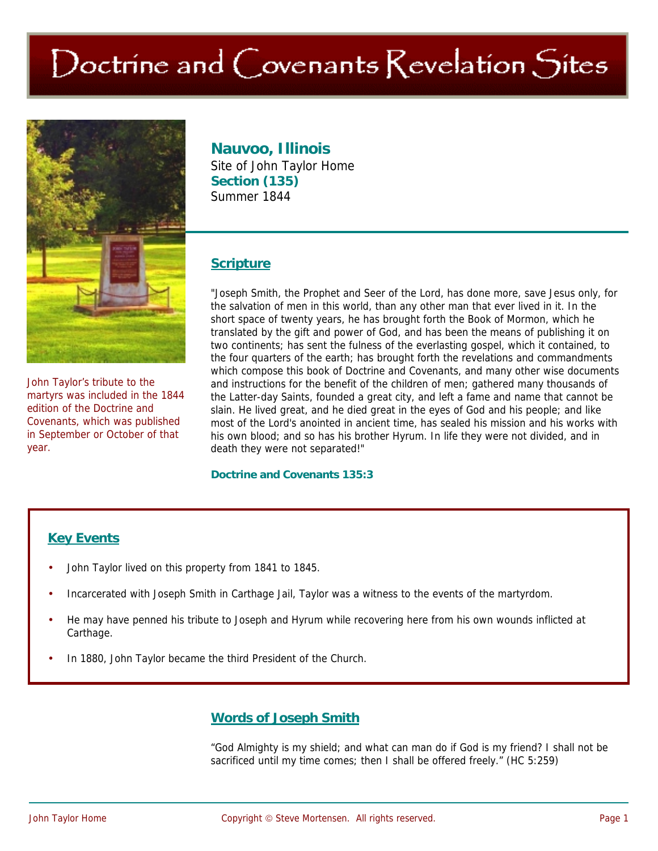# Doctrine and Covenants Revelation Sites



John Taylor's tribute to the martyrs was included in the 1844 edition of the Doctrine and Covenants, which was published in September or October of that year.

# **Nauvoo, Illinois**

Site of John Taylor Home **Section (135)**  Summer 1844

#### **Scripture**

"Joseph Smith, the Prophet and Seer of the Lord, has done more, save Jesus only, for the salvation of men in this world, than any other man that ever lived in it. In the short space of twenty years, he has brought forth the Book of Mormon, which he translated by the gift and power of God, and has been the means of publishing it on two continents; has sent the fulness of the everlasting gospel, which it contained, to the four quarters of the earth; has brought forth the revelations and commandments which compose this book of Doctrine and Covenants, and many other wise documents and instructions for the benefit of the children of men; gathered many thousands of the Latter-day Saints, founded a great city, and left a fame and name that cannot be slain. He lived great, and he died great in the eyes of God and his people; and like most of the Lord's anointed in ancient time, has sealed his mission and his works with his own blood; and so has his brother Hyrum. In life they were not divided, and in death they were not separated!"

#### **Doctrine and Covenants 135:3**

#### **Key Events**

- John Taylor lived on this property from 1841 to 1845.
- Incarcerated with Joseph Smith in Carthage Jail, Taylor was a witness to the events of the martyrdom.
- He may have penned his tribute to Joseph and Hyrum while recovering here from his own wounds inflicted at Carthage.
- In 1880, John Taylor became the third President of the Church.

## **Words of Joseph Smith**

"God Almighty is my shield; and what can man do if God is my friend? I shall not be sacrificed until my time comes; then I shall be offered freely." (HC 5:259)